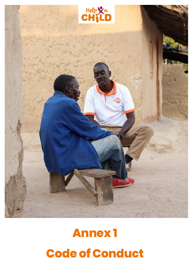

# **Annex 1 Code of Conduct**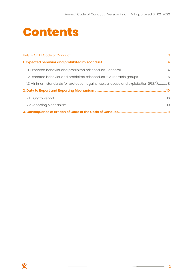## **Contents**

<span id="page-1-0"></span>

| 1.3 Minimum standards for protection against sexual abuse and exploitation (PSEA) 8 |  |
|-------------------------------------------------------------------------------------|--|
|                                                                                     |  |
|                                                                                     |  |
|                                                                                     |  |
|                                                                                     |  |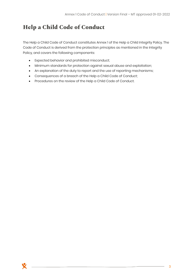## **Help a Child Code of Conduct**

The Help a Child Code of Conduct constitutes Annex 1 of the Help a Child Integrity Policy. The Code of Conduct is derived from the protection principles as mentioned in the Integrity Policy, and covers the following components:

- Expected behavior and prohibited misconduct;
- Minimum standards for protection against sexual abuse and exploitation;
- An explanation of the duty to report and the use of reporting mechanisms;
- Consequences of a breach of the Help a Child Code of Conduct;
- Procedures on the review of the Help a Child Code of Conduct.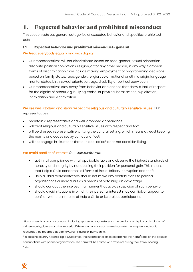### <span id="page-3-0"></span>**1. Expected behavior and prohibited misconduct**

This section sets out general categories of expected behavior and specifies prohibited acts.

#### <span id="page-3-1"></span> $1.1$ Expected behavior and prohibited misconduct - general

#### We treat everybody equally and with dignity:

- Our representatives will not discriminate based on race, gender, sexual orientation, disability, political convictions, religion, or for any other reason, in any way. Common forms of discrimination may include making employment or programming decisions based on family status, race, gender, religion, color, national or ethnic origin, language, marital status, birth, sexual orientation, age, disability or political conviction.
- Our representatives stay away from behavior and actions that show a lack of respect for the dignity of others, e.g. bullying, verbal or physical harassment<sup>1</sup>, exploitation, intimidation and victimization.

#### We are well-clothed and show respect for religious and culturally sensitive issues. Our representatives:

- maintain a representative and well-groomed appearance.
- will treat religious and culturally sensitive issues with respect and tact.
- will be dressed representatively, fitting the cultural setting, which means at least keeping the norms and codes set by our local office<sup>2</sup>. .
- will not engage in situations that our local office<sup>3</sup> does not consider fitting.

#### We avoid conflict of interest. Our representatives:

- act in full compliance with all applicable laws and observe the highest standards of honesty and integrity by not abusing their position for personal gain. This means that Help a Child condemns all forms of fraud, bribery, corruption and theft.
- Help a Child representatives should not make any contributions to political organizations or individuals as a means of obtaining an advantage.
- should conduct themselves in a manner that avoids suspicion of such behavior.
- should avoid situations in which their personal interest may conflict, or appear to conflict, with the interests of Help a Child or its project participants.

<sup>&</sup>lt;sup>1</sup> Harassment is any act or conduct including spoken words, gestures or the production, display or circulation of written words, pictures or other material, if the action or conduct is unwelcome to the recipient and could reasonably be regarded as offensive, humiliating or intimidating.

<sup>2</sup> In case he country has no Help a Child office, the International office determines this norm/code on the basis of consultations with partner organizations. The norm will be shared with travelers during their travel briefing  $^3$  Idem.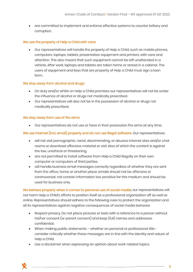• are committed to implement and enforce effective systems to counter bribery and corruption.

#### We use the property of Help a Child with care:

• Our representatives will handle the property of Help a Child, such as mobile phones, computers, laptops, tablets, presentation equipment and printers, with care and attention. This also means that such equipment cannot be left unattended in a vehicle. After work, laptops and tablets are taken home or stored in a cabinet. The users of equipment and keys that are property of Help a Child must sign a loan form.

#### We stay away from alcohol and drugs:

- On duty and/or whilst on Help a Child premises our representatives will not be under the influence of alcohol or drugs not medically prescribed.
- Our representatives will also not be in the possession of alcohol or drugs not medically prescribed.

#### We stay away from use of fire arms:

• Our representatives do not use or have in their possession fire arms at any time.

#### We use internet (incl. email) properly and do not use illegal software. Our representatives:

- will not visit pornographic, racist, discriminating, or abusive internet sites and/or chat rooms or download offensive material or visit sites of which the content is against the law, unethical or threatening.
- are not permitted to install software from Help a Child illegally on their own computer or computers of third parties.
- will handle business email messages correctly regardless of whether they are sent from the office, home or another place: emails should not be offensive or controversial, not contain information too sensitive for this medium and should be used for business only.

We behave properly when it comes to personal use of social media: our representatives will not harm Help a Child's efforts to position itself as a professional organization off as well as online. Representatives should adhere to the following rules to protect the organization and all its representatives against negative consequences of social media behavior.

- Respect privacy. Do not place pictures or texts with a reference to a person without his/her consent (or parent consent) and keep (full) names and addresses confidential.
- When making public statements whether on personal or professional title consider critically whether these messages are in line with the identity and values of Help a Child.
- Use a disclaimer when expressing an opinion about work-related topics.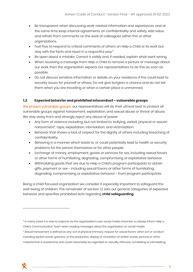- Be transparent when discussing work-related information and experiences and at the same time keep internal agreements on confidentiality and safety. Add value and refrain from comments on the work of colleagues within this or other organizations.
- Feel free to respond to critical comments of others on Help a Child or its work but stay with the facts and react in a respectful way.<sup>4</sup>
- Be open about a mistake. Correct it visibly and, if needed, explain what went wrong.
- When receiving a message from Help a Child to remove a picture or message about our work, then the organization expects our representatives to do this as soon as possible.
- Do not discuss sensitive information or details on your residence if this could lead to security issues for yourself or others. Do not give burglars a chance and do not tell them when you are travelling or when a certain place is unmanned.

#### <span id="page-5-0"></span> $1.2$ Expected behavior and prohibited misconduct – vulnerable groups

We protect vulnerable groups: our representatives will do their utmost best to protect all vulnerable groups against harassment, exploitation, and sexual abuse or threat of abuse. We stay away from and strongly reject any abuse of power:

- Any form of violence including, but not limited to: bullying, verbal, physical or sexualharassment<sup>5</sup>, rape, exploitation, intimidation, and victimization;
- Behavior that shows a lack of respect for the dignity of others including breaching of confidentiality;
- Behaving in a manner which leads to, or could potentially lead to health or security problems for the person themselves or for other people;
- Exchange of money, employment, goods or services for sex, including sexual favors or other forms of humiliating, degrading, compromising or exploitative behavior.
- Withholding goods that are due to Help a Child's program participants to obtain gifts, payment or sex - including sexual favors or other forms of humiliating, degrading, compromising or exploitative behavior - from program participants.

Being a child-focused organization we consider it especially important to safeguard the well-being of children. The remainder of section 1.2 sets out general categories of expected behavior and specifies prohibited acts regarding **child safeguarding**.



<sup>4</sup> In many cases it is wise to respond via the organization's own social media channels, so always inform Help a Child's Communication Team when reading messages about the organization on social media

<sup>5</sup> Sexual harassment is defined as any: act of physical intimacy; request for sexual favors; other act or conduct including spoken words, gestures, or the production, display or circulation of written words, pictures or other material that is unwelcome and could reasonably be regarded as sexually offensive, humiliating or intimidating.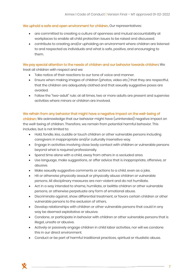#### We uphold a safe and open environment for children. Our representatives:

- are committed to creating a culture of openness and mutual accountability at workplaces to enable all child protection issues to be raised and discussed.
- contribute to creating and/or upholding an environment where children are listened to and respected as individuals and what is safe, positive, and encouraging to them.

#### We pay special attention to the needs of children and our behavior towards children: We

treat all children with respect and we:

- Take notice of their reactions to our tone of voice and manner.
- Ensure when making images of children (photos, video etc.) that they are respectful, that the children are adequately clothed and that sexually suggestive poses are avoided.
- Follow the "two-adult" rule; at all times, two or more adults are present and supervise activities where minors or children are involved.

#### We refrain from any behavior that might have a negative impact on the well-being of

children: We acknowledge that our behavior might have (unintended) negative impact on the well-being of children. Therefore, we remain from potential harmful behavior. This includes, but is not limited to:

- Hold, fondle, kiss, cuddle or touch children or other vulnerable persons including caregivers in inappropriate and/or culturally insensitive way.
- Engage in activities involving close body contact with children or vulnerable persons beyond what is required professionally.
- Spend time alone with a child, away from others in a secluded area.
- Use language, make suggestions, or offer advice that is inappropriate, offensive, or abusive.
- Make sexually suggestive comments or actions to a child, even as a joke.
- Hit or otherwise physically assault or physically abuse children or vulnerable persons. All disciplinary measures are non-violent and do not humiliate.
- Act in a way intended to shame, humiliate, or belittle children or other vulnerable persons, or otherwise perpetuate any form of emotional abuse.
- Discriminate against, show differential treatment, or favors certain children or other vulnerable persons to the exclusion of others.
- Develop relationships with children or other vulnerable persons that could in any way be deemed exploitative or abusive.
- Condone, or participate in behavior with children or other vulnerable persons that is illegal, unsafe or abusive.
- Actively or passively engage children in child labor activities, nor will we condone this in our direct environment.
- Conduct or be part of harmful traditional practices, spiritual or ritualistic abuse.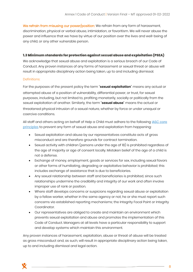We refrain from misusing our power/position: We refrain from any form of harassment, discrimination, physical or verbal abuse, intimidation, or favoritism. We will never abuse the power and influence that we have by virtue of our position over the lives and well-being of any child, or any other vulnerable person.

#### <span id="page-7-0"></span>1.3 Minimum standards for protection against sexual abuse and exploitation (PSEA)

We acknowledge that sexual abuse and exploitation is a serious breach of our Code of Conduct. Any proven instances of any forms of harassment or sexual threat or abuse will result in appropriate disciplinary action being taken, up to and including dismissal.

#### Definitions:

For the purposes of the present policy the term **'sexual exploitation'** means any actual or attempted abuse of a position of vulnerability, differential power, or trust, for sexual purposes, including, but not limited to, profiting monetarily, socially or politically from the sexual exploitation of another. Similarly, the term **'sexual abuse'** means the actual or threatened physical intrusion of a sexual nature, whether by force or under unequal or coercive conditions.

All staff and others acting on behalf of Help a Child must adhere to the following **IASC core** [principles](https://psea.interagencystandingcommittee.org/update/iasc-six-core-principles) to prevent any form of sexual abuse and exploitation from happening:

- Sexual exploitation and abuse by our representatives constitute acts of gross misconduct and are therefore grounds for contract termination.
- Sexual activity with children (persons under the age of 18) is prohibited regardless of the age of majority or age of consent locally. Mistaken belief of the age of a child is not a defense.
- Exchange of money, employment, goods or services for sex, including sexual favors or other forms of humiliating, degrading or exploitative behavior is prohibited; this includes exchange of assistance that is due to beneficiaries.
- Any sexual relationship between staff and beneficiaries is prohibited, since such relationships undermine the credibility and integrity of our work and often involve improper use of rank or position.
- Where staff develops concerns or suspicions regarding sexual abuse or exploitation by a fellow worker, whether in the same agency or not, he or she must report such concerns via established reporting mechanisms; the Integrity Focal Point or Integrity Coordinator.
- Our representatives are obliged to create and maintain an environment which prevents sexual exploitation and abuse and promotes the implementation of this Code of Conduct. Managers at all levels have a particular responsibility to support and develop systems which maintain this environment.

Any proven instances of harassment, exploitation, abuse or threat of abuse will be treated as gross misconduct and, as such, will result in appropriate disciplinary action being taken, up to and including dismissal and legal action.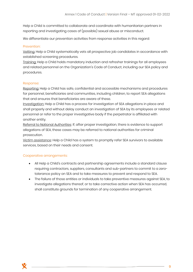Help a Child is committed to collaborate and coordinate with humanitarian partners in reporting and investigating cases of (possible) sexual abuse or misconduct.

We differentiate our prevention activities from response activities in this regard:

#### Prevention:

Vetting: Help a Child systematically vets all prospective job candidates in accordance with established screening procedures.

Training: Help a Child holds mandatory induction and refresher trainings for all employees and related personnel on the Organization's Code of Conduct, including our SEA policy and procedures.

#### Response:

Reporting: Help a Child has safe, confidential and accessible mechanisms and procedures for personnel, beneficiaries and communities, including children, to report SEA allegations that and ensures that beneficiaries are aware of these.

Investigation: Help a Child has a process for investigation of SEA allegations in place and shall properly and without delay conduct an investigation of SEA by its employees or related personnel or refer to the proper investigative body if the perpetrator is affiliated with another entity.

Referral to National Authorities: If, after proper investigation, there is evidence to support allegations of SEA, these cases may be referred to national authorities for criminal prosecution.

Victim assistance: Help a Child has a system to promptly refer SEA survivors to available services, based on their needs and consent.

#### Cooperative arrangements:

- All Help a Child's contracts and partnership agreements include a standard clause requiring contractors, suppliers, consultants and sub-partners to commit to a zerotolerance policy on SEA and to take measures to prevent and respond to SEA.
- The failure of those entities or individuals to take preventive measures against SEA, to investigate allegations thereof, or to take corrective action when SEA has occurred, shall constitute grounds for termination of any cooperative arrangement.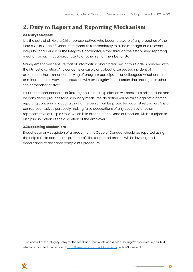## <span id="page-9-0"></span>**2. Duty to Report and Reporting Mechanism**

#### <span id="page-9-1"></span>2.1 Duty to Report

It is the duty of all Help a Child representatives who become aware of any breaches of the Help a Child Code of Conduct to report this immediately to a line manager or a relevant Integrity Focal Person or the Integrity Coordinator, either through the established reporting mechanism or, if not appropriate, to another senior member of staff.

Management must ensure that all information about breaches of this Code is handled with the utmost discretion. Any concerns or suspicions about a suspected incident of exploitation, harassment or bullying of program participants or colleagues, whether major or minor, should always be discussed with an Integrity Focal Person, line manager or other senior member of staff.

Failure to report concerns of (sexual) abuse and exploitation will constitute misconduct and be considered grounds for disciplinary measures. No action will be taken against a person reporting concerns in good faith, and the person will be protected against retaliation. Any of our representatives purposely making false accusations of any action by another representative of Help a Child, which is in breach of the Code of Conduct, will be subject to disciplinary action at the discretion of the employer.

#### <span id="page-9-2"></span>**2.2 Reporting Mechanism**

Breaches or any suspicion of a breach to this Code of Conduct should be reported using the Help a Child complaints procedure<sup>6</sup>. The suspected breach will be investigated in accordance to the same complaints procedure.

<sup>&</sup>lt;sup>6</sup> See Annex 4 of the Integrity Policy for the Feedback, Complaints and Whistle Blowing Procedure of Help a Child, which can also be found online a[t https://www.helpachild.org/documents](https://www.helpachild.org/documents) and on SharePoint.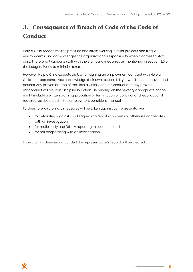## <span id="page-10-0"></span>**3. Consequence of Breach of Code of the Code of Conduct**

Help a Child recognizes the pressure and stress working in relief projects and fragile environments and acknowledges the organizational responsibility when it comes to staff care. Therefore, it supports staff with the staff care measures as mentioned in section 3.5 of the Integrity Policy to minimize stress.

However, Help a Child expects that, when signing an employment contract with Help a Child, our representatives acknowledge their own responsibility towards their behavior and actions. Any proven breach of the Help a Child Code of Conduct and any proven misconduct will result in disciplinary action. Depending on the severity appropriate action might include a written warning, probation or termination of contract and legal action if required, as described in the employment conditions manual.

Furthermore, disciplinary measures will be taken against our representatives

- for retaliating against a colleague who reports concerns or otherwise cooperates with an investigation;
- for maliciously and falsely reporting misconduct; and
- for not cooperating with an investigation.

If the claim is deemed unfounded the representative's record will be cleared.